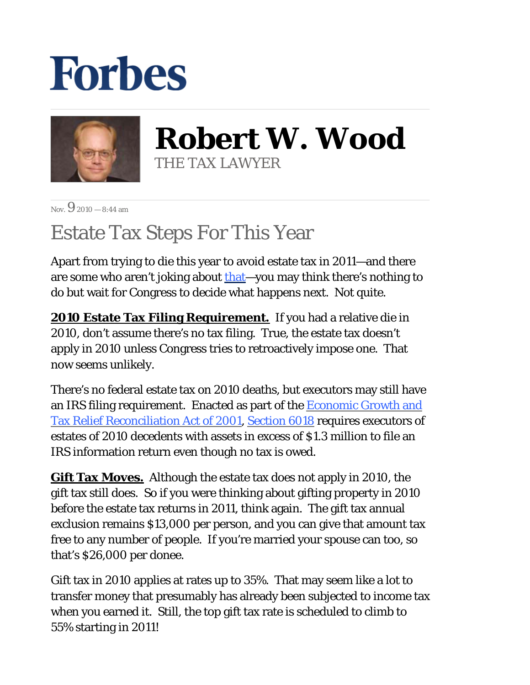## **Forbes**



**Robert W. Wood** THE TAX LAWYER

 $N_{\text{ov}}$  9 2010 – 8:44 am

## Estate Tax Steps For This Year

Apart from trying to die this year to avoid estate tax in 2011—and there are some who aren't joking about that—you may think there's nothing to do but wait for Congress to decide what happens next. Not quite.

**2010 Estate Tax Filing Requirement.** If you had a relative die in 2010, don't assume there's no tax filing. True, the estate tax doesn't apply in 2010 unless Congress tries to retroactively impose one. That now seems unlikely.

There's no federal estate tax on 2010 deaths, but executors may still have an IRS filing requirement. Enacted as part of the Economic Growth and Tax Relief Reconciliation Act of 2001, Section 6018 requires executors of estates of 2010 decedents with assets in excess of \$1.3 million to file an IRS information return even though no tax is owed.

**Gift Tax Moves.** Although the estate tax does not apply in 2010, the gift tax still does. So if you were thinking about gifting property in 2010 before the estate tax returns in 2011, think again. The gift tax annual exclusion remains \$13,000 per person, and you can give that amount tax free to any number of people. If you're married your spouse can too, so that's \$26,000 per donee.

Gift tax in 2010 applies at rates up to 35%. That may seem like a lot to transfer money that presumably has already been subjected to income tax when you earned it. Still, the top gift tax rate is scheduled to climb to 55% starting in 2011!